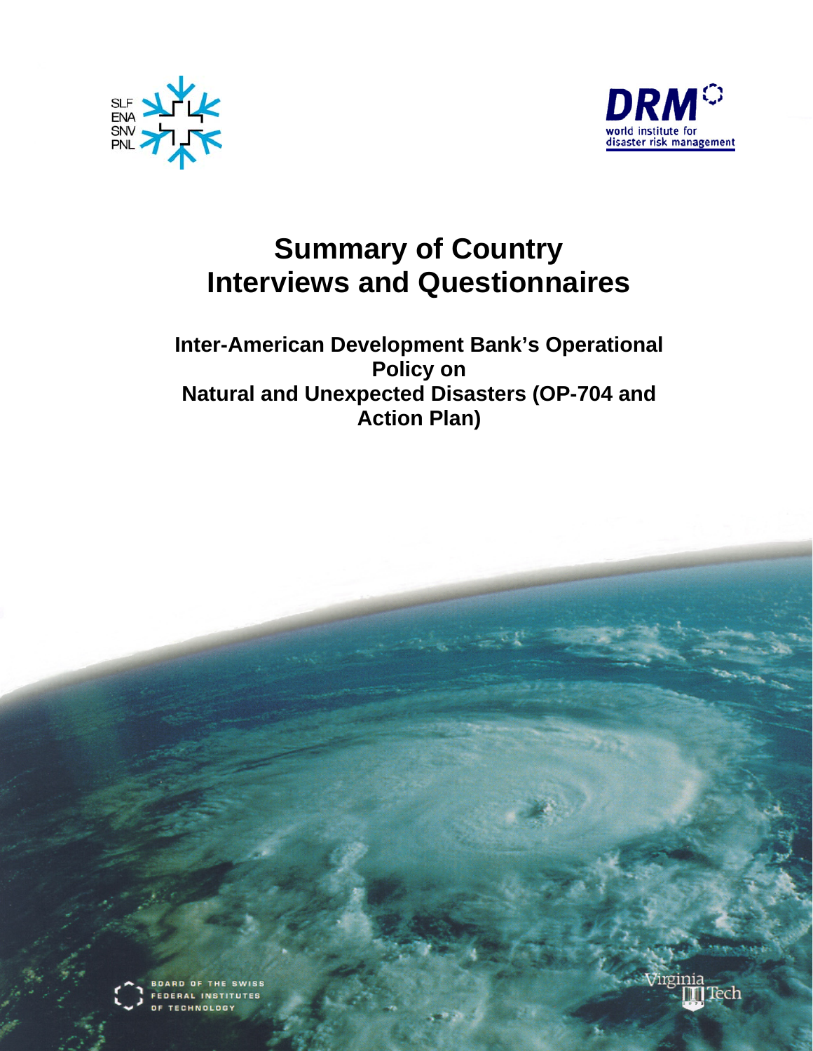



# **Summary of Country Interviews and Questionnaires**

**Inter-American Development Bank's Operational Policy on Natural and Unexpected Disasters (OP-704 and Action Plan)**



ARD OF THE SWISS **EDERAL INSTITUTES TECHNOLOGY** 

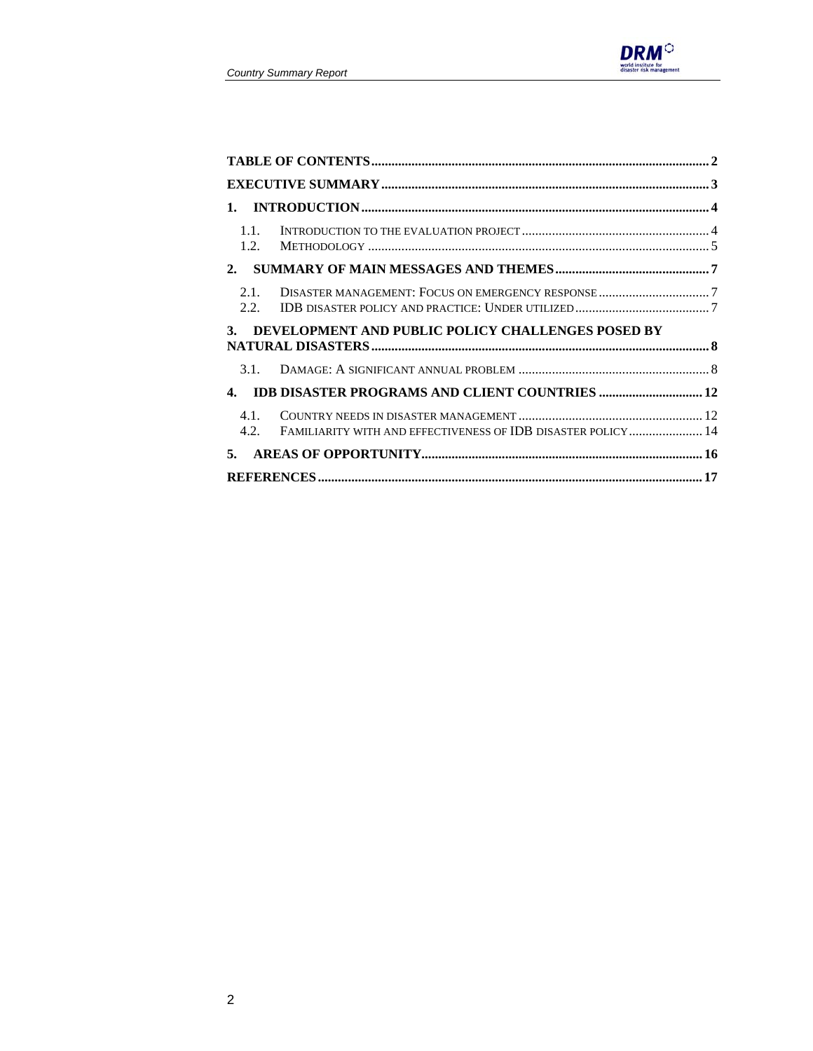

| $\mathbf{1}$ .                                                                |  |
|-------------------------------------------------------------------------------|--|
| 1.1.<br>1.2.                                                                  |  |
| 2.                                                                            |  |
| 2.1.<br>2.2.                                                                  |  |
| DEVELOPMENT AND PUBLIC POLICY CHALLENGES POSED BY<br>3.                       |  |
| 3.1.                                                                          |  |
| <b>IDB DISASTER PROGRAMS AND CLIENT COUNTRIES  12</b><br>$\mathbf{4}$ .       |  |
| 4.1.<br>FAMILIARITY WITH AND EFFECTIVENESS OF IDB DISASTER POLICY  14<br>4.2. |  |
| 5.                                                                            |  |
|                                                                               |  |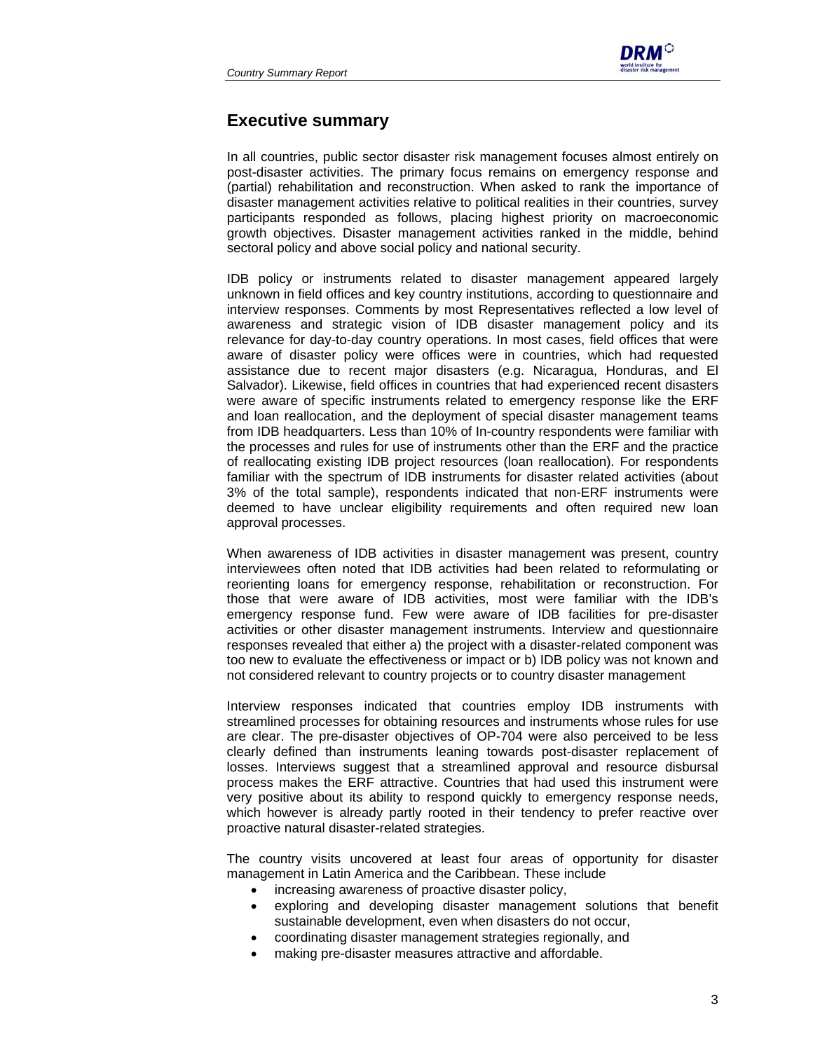

## **Executive summary**

In all countries, public sector disaster risk management focuses almost entirely on post-disaster activities. The primary focus remains on emergency response and (partial) rehabilitation and reconstruction. When asked to rank the importance of disaster management activities relative to political realities in their countries, survey participants responded as follows, placing highest priority on macroeconomic growth objectives. Disaster management activities ranked in the middle, behind sectoral policy and above social policy and national security.

IDB policy or instruments related to disaster management appeared largely unknown in field offices and key country institutions, according to questionnaire and interview responses. Comments by most Representatives reflected a low level of awareness and strategic vision of IDB disaster management policy and its relevance for day-to-day country operations. In most cases, field offices that were aware of disaster policy were offices were in countries, which had requested assistance due to recent major disasters (e.g. Nicaragua, Honduras, and El Salvador). Likewise, field offices in countries that had experienced recent disasters were aware of specific instruments related to emergency response like the ERF and loan reallocation, and the deployment of special disaster management teams from IDB headquarters. Less than 10% of In-country respondents were familiar with the processes and rules for use of instruments other than the ERF and the practice of reallocating existing IDB project resources (loan reallocation). For respondents familiar with the spectrum of IDB instruments for disaster related activities (about 3% of the total sample), respondents indicated that non-ERF instruments were deemed to have unclear eligibility requirements and often required new loan approval processes.

When awareness of IDB activities in disaster management was present, country interviewees often noted that IDB activities had been related to reformulating or reorienting loans for emergency response, rehabilitation or reconstruction. For those that were aware of IDB activities, most were familiar with the IDB's emergency response fund. Few were aware of IDB facilities for pre-disaster activities or other disaster management instruments. Interview and questionnaire responses revealed that either a) the project with a disaster-related component was too new to evaluate the effectiveness or impact or b) IDB policy was not known and not considered relevant to country projects or to country disaster management

Interview responses indicated that countries employ IDB instruments with streamlined processes for obtaining resources and instruments whose rules for use are clear. The pre-disaster objectives of OP-704 were also perceived to be less clearly defined than instruments leaning towards post-disaster replacement of losses. Interviews suggest that a streamlined approval and resource disbursal process makes the ERF attractive. Countries that had used this instrument were very positive about its ability to respond quickly to emergency response needs, which however is already partly rooted in their tendency to prefer reactive over proactive natural disaster-related strategies.

The country visits uncovered at least four areas of opportunity for disaster management in Latin America and the Caribbean. These include

- increasing awareness of proactive disaster policy,
- exploring and developing disaster management solutions that benefit sustainable development, even when disasters do not occur,
- coordinating disaster management strategies regionally, and
- making pre-disaster measures attractive and affordable.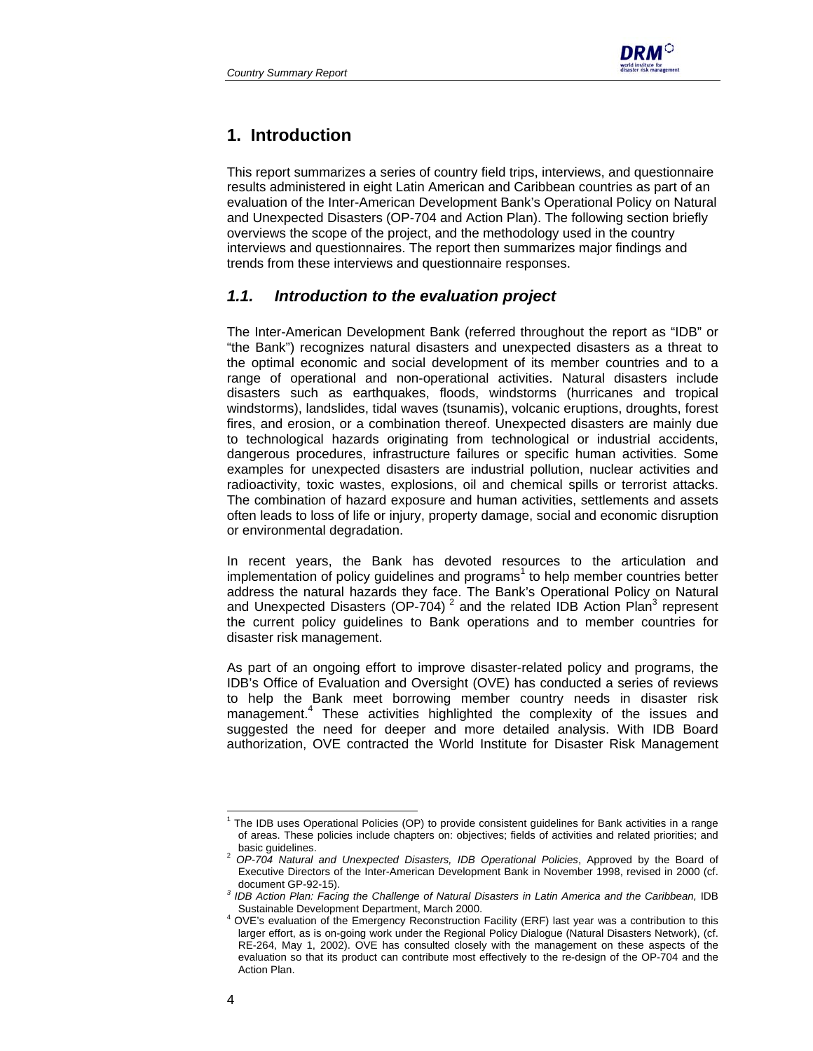

## **1. Introduction**

This report summarizes a series of country field trips, interviews, and questionnaire results administered in eight Latin American and Caribbean countries as part of an evaluation of the Inter-American Development Bank's Operational Policy on Natural and Unexpected Disasters (OP-704 and Action Plan). The following section briefly overviews the scope of the project, and the methodology used in the country interviews and questionnaires. The report then summarizes major findings and trends from these interviews and questionnaire responses.

## *1.1. Introduction to the evaluation project*

The Inter-American Development Bank (referred throughout the report as "IDB" or "the Bank") recognizes natural disasters and unexpected disasters as a threat to the optimal economic and social development of its member countries and to a range of operational and non-operational activities. Natural disasters include disasters such as earthquakes, floods, windstorms (hurricanes and tropical windstorms), landslides, tidal waves (tsunamis), volcanic eruptions, droughts, forest fires, and erosion, or a combination thereof. Unexpected disasters are mainly due to technological hazards originating from technological or industrial accidents, dangerous procedures, infrastructure failures or specific human activities. Some examples for unexpected disasters are industrial pollution, nuclear activities and radioactivity, toxic wastes, explosions, oil and chemical spills or terrorist attacks. The combination of hazard exposure and human activities, settlements and assets often leads to loss of life or injury, property damage, social and economic disruption or environmental degradation.

In recent years, the Bank has devoted resources to the articulation and implementation of policy guidelines and programs $<sup>1</sup>$  to help member countries better</sup> address the natural hazards they face. The Bank's Operational Policy on Natural and Unexpected Disasters (OP-704)<sup>2</sup> and the related IDB Action Plan<sup>3</sup> represent the current policy guidelines to Bank operations and to member countries for disaster risk management.

As part of an ongoing effort to improve disaster-related policy and programs, the IDB's Office of Evaluation and Oversight (OVE) has conducted a series of reviews to help the Bank meet borrowing member country needs in disaster risk management.<sup>4</sup> These activities highlighted the complexity of the issues and suggested the need for deeper and more detailed analysis. With IDB Board authorization, OVE contracted the World Institute for Disaster Risk Management

l

<sup>&</sup>lt;sup>1</sup> The IDB uses Operational Policies (OP) to provide consistent guidelines for Bank activities in a range of areas. These policies include chapters on: objectives; fields of activities and related priorities; and

basic guidelines. 2 *OP-704 Natural and Unexpected Disasters, IDB Operational Policies*, Approved by the Board of Executive Directors of the Inter-American Development Bank in November 1998, revised in 2000 (cf.

document GP-92-15). *<sup>3</sup> IDB Action Plan: Facing the Challenge of Natural Disasters in Latin America and the Caribbean,* IDB Sustainable Development Department, March 2000.

<sup>&</sup>lt;sup>4</sup> OVE's evaluation of the Emergency Reconstruction Facility (ERF) last year was a contribution to this larger effort, as is on-going work under the Regional Policy Dialogue (Natural Disasters Network), (cf. RE-264, May 1, 2002). OVE has consulted closely with the management on these aspects of the evaluation so that its product can contribute most effectively to the re-design of the OP-704 and the Action Plan.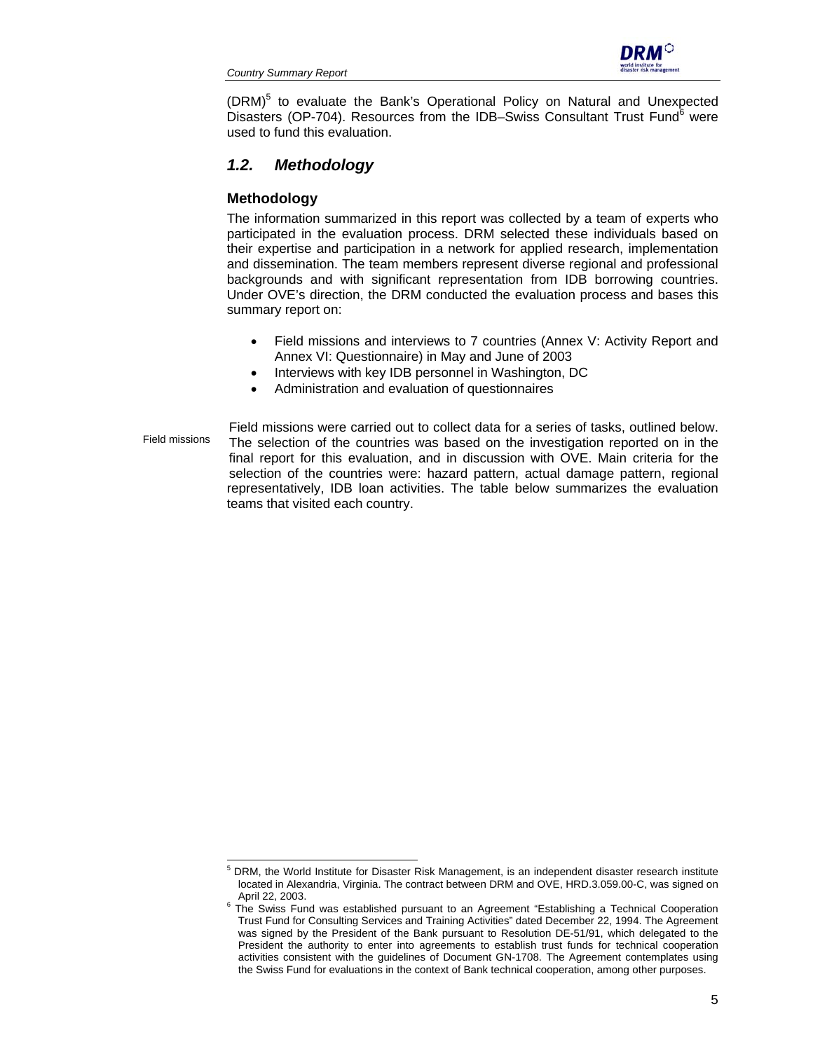

(DRM)<sup>5</sup> to evaluate the Bank's Operational Policy on Natural and Unexpected Disasters (OP-704). Resources from the IDB-Swiss Consultant Trust Fund<sup>6</sup> were used to fund this evaluation.

## *1.2. Methodology*

## **Methodology**

l

The information summarized in this report was collected by a team of experts who participated in the evaluation process. DRM selected these individuals based on their expertise and participation in a network for applied research, implementation and dissemination. The team members represent diverse regional and professional backgrounds and with significant representation from IDB borrowing countries. Under OVE's direction, the DRM conducted the evaluation process and bases this summary report on:

- Field missions and interviews to 7 countries (Annex V: Activity Report and Annex VI: Questionnaire) in May and June of 2003
- Interviews with key IDB personnel in Washington, DC
- Administration and evaluation of questionnaires

Field missions were carried out to collect data for a series of tasks, outlined below. The selection of the countries was based on the investigation reported on in the final report for this evaluation, and in discussion with OVE. Main criteria for the selection of the countries were: hazard pattern, actual damage pattern, regional representatively, IDB loan activities. The table below summarizes the evaluation teams that visited each country. Field missions

<sup>&</sup>lt;sup>5</sup> DRM, the World Institute for Disaster Risk Management, is an independent disaster research institute located in Alexandria, Virginia. The contract between DRM and OVE, HRD.3.059.00-C, was signed on<br>April 22, 2003.

April 22, 2003.<br><sup>6</sup> The Swiss Fund was established pursuant to an Agreement "Establishing a Technical Cooperation Trust Fund for Consulting Services and Training Activities" dated December 22, 1994. The Agreement was signed by the President of the Bank pursuant to Resolution DE-51/91, which delegated to the President the authority to enter into agreements to establish trust funds for technical cooperation activities consistent with the guidelines of Document GN-1708. The Agreement contemplates using the Swiss Fund for evaluations in the context of Bank technical cooperation, among other purposes.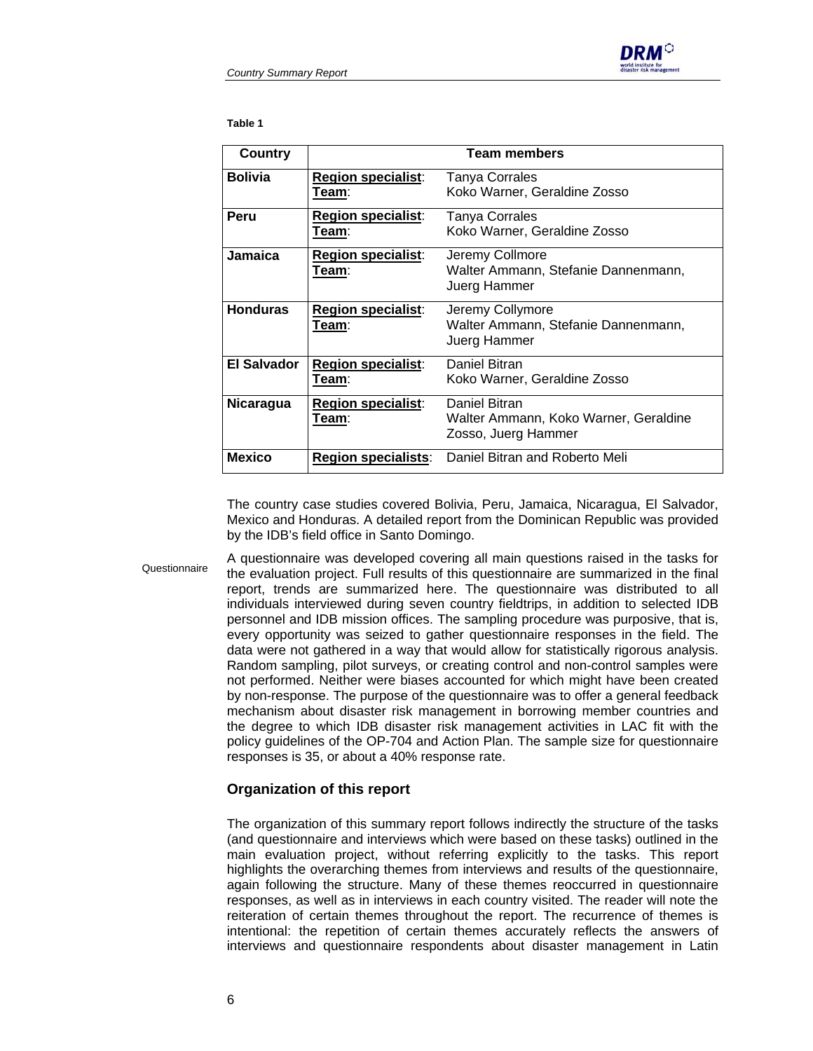

**Table 1** 

| Country            |                                             | <b>Team members</b>                                                           |
|--------------------|---------------------------------------------|-------------------------------------------------------------------------------|
| <b>Bolivia</b>     | <b>Region specialist:</b><br>T <u>eam</u> : | Tanya Corrales<br>Koko Warner, Geraldine Zosso                                |
| Peru               | <b>Region specialist:</b><br>Team∶          | <b>Tanya Corrales</b><br>Koko Warner, Geraldine Zosso                         |
| <b>Jamaica</b>     | Region specialist:<br>Team:                 | Jeremy Collmore<br>Walter Ammann, Stefanie Dannenmann,<br>Juerg Hammer        |
| <b>Honduras</b>    | <b>Region specialist:</b><br>Team∶          | Jeremy Collymore<br>Walter Ammann, Stefanie Dannenmann,<br>Juerg Hammer       |
| <b>El Salvador</b> | <b>Region specialist:</b><br>T <u>eam</u> ∶ | Daniel Bitran<br>Koko Warner, Geraldine Zosso                                 |
| <b>Nicaragua</b>   | <b>Region specialist:</b><br>Team∶          | Daniel Bitran<br>Walter Ammann, Koko Warner, Geraldine<br>Zosso, Juerg Hammer |
| <b>Mexico</b>      | <b>Region specialists:</b>                  | Daniel Bitran and Roberto Meli                                                |

The country case studies covered Bolivia, Peru, Jamaica, Nicaragua, El Salvador, Mexico and Honduras. A detailed report from the Dominican Republic was provided by the IDB's field office in Santo Domingo.

A questionnaire was developed covering all main questions raised in the tasks for the evaluation project. Full results of this questionnaire are summarized in the final report, trends are summarized here. The questionnaire was distributed to all individuals interviewed during seven country fieldtrips, in addition to selected IDB personnel and IDB mission offices. The sampling procedure was purposive, that is, every opportunity was seized to gather questionnaire responses in the field. The data were not gathered in a way that would allow for statistically rigorous analysis. Random sampling, pilot surveys, or creating control and non-control samples were not performed. Neither were biases accounted for which might have been created by non-response. The purpose of the questionnaire was to offer a general feedback mechanism about disaster risk management in borrowing member countries and the degree to which IDB disaster risk management activities in LAC fit with the policy guidelines of the OP-704 and Action Plan. The sample size for questionnaire responses is 35, or about a 40% response rate. **Questionnaire** 

#### **Organization of this report**

The organization of this summary report follows indirectly the structure of the tasks (and questionnaire and interviews which were based on these tasks) outlined in the main evaluation project, without referring explicitly to the tasks. This report highlights the overarching themes from interviews and results of the questionnaire, again following the structure. Many of these themes reoccurred in questionnaire responses, as well as in interviews in each country visited. The reader will note the reiteration of certain themes throughout the report. The recurrence of themes is intentional: the repetition of certain themes accurately reflects the answers of interviews and questionnaire respondents about disaster management in Latin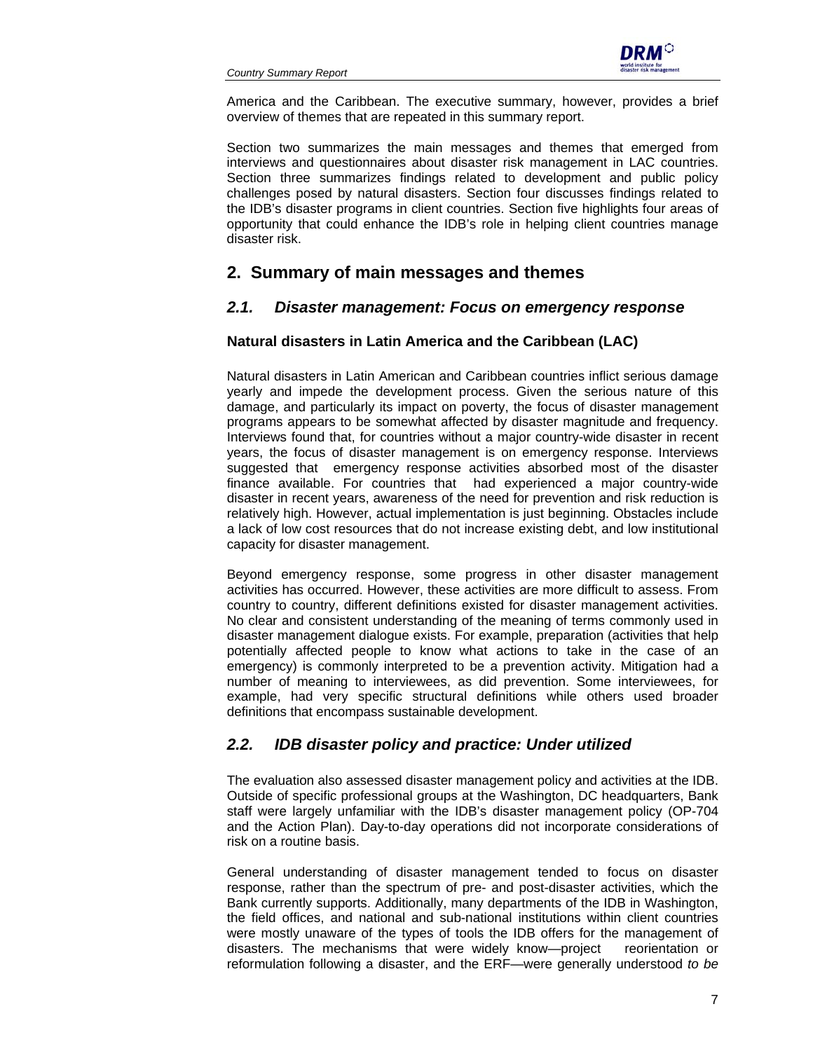

America and the Caribbean. The executive summary, however, provides a brief overview of themes that are repeated in this summary report.

Section two summarizes the main messages and themes that emerged from interviews and questionnaires about disaster risk management in LAC countries. Section three summarizes findings related to development and public policy challenges posed by natural disasters. Section four discusses findings related to the IDB's disaster programs in client countries. Section five highlights four areas of opportunity that could enhance the IDB's role in helping client countries manage disaster risk.

# **2. Summary of main messages and themes**

## *2.1. Disaster management: Focus on emergency response*

## **Natural disasters in Latin America and the Caribbean (LAC)**

Natural disasters in Latin American and Caribbean countries inflict serious damage yearly and impede the development process. Given the serious nature of this damage, and particularly its impact on poverty, the focus of disaster management programs appears to be somewhat affected by disaster magnitude and frequency. Interviews found that, for countries without a major country-wide disaster in recent years, the focus of disaster management is on emergency response. Interviews suggested that emergency response activities absorbed most of the disaster finance available. For countries that had experienced a major country-wide disaster in recent years, awareness of the need for prevention and risk reduction is relatively high. However, actual implementation is just beginning. Obstacles include a lack of low cost resources that do not increase existing debt, and low institutional capacity for disaster management.

Beyond emergency response, some progress in other disaster management activities has occurred. However, these activities are more difficult to assess. From country to country, different definitions existed for disaster management activities. No clear and consistent understanding of the meaning of terms commonly used in disaster management dialogue exists. For example, preparation (activities that help potentially affected people to know what actions to take in the case of an emergency) is commonly interpreted to be a prevention activity. Mitigation had a number of meaning to interviewees, as did prevention. Some interviewees, for example, had very specific structural definitions while others used broader definitions that encompass sustainable development.

## *2.2. IDB disaster policy and practice: Under utilized*

The evaluation also assessed disaster management policy and activities at the IDB. Outside of specific professional groups at the Washington, DC headquarters, Bank staff were largely unfamiliar with the IDB's disaster management policy (OP-704 and the Action Plan). Day-to-day operations did not incorporate considerations of risk on a routine basis.

General understanding of disaster management tended to focus on disaster response, rather than the spectrum of pre- and post-disaster activities, which the Bank currently supports. Additionally, many departments of the IDB in Washington, the field offices, and national and sub-national institutions within client countries were mostly unaware of the types of tools the IDB offers for the management of disasters. The mechanisms that were widely know—project reorientation or reformulation following a disaster, and the ERF—were generally understood *to be*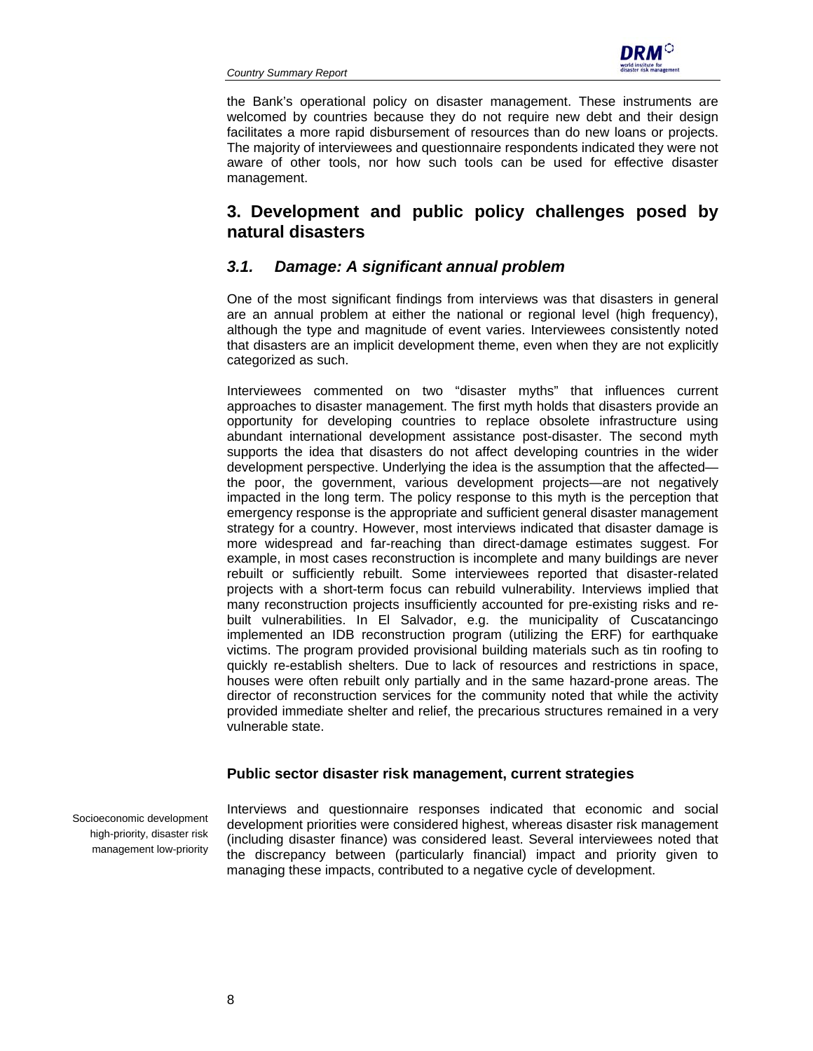

the Bank's operational policy on disaster management. These instruments are welcomed by countries because they do not require new debt and their design facilitates a more rapid disbursement of resources than do new loans or projects. The majority of interviewees and questionnaire respondents indicated they were not aware of other tools, nor how such tools can be used for effective disaster management.

# **3. Development and public policy challenges posed by natural disasters**

## *3.1. Damage: A significant annual problem*

One of the most significant findings from interviews was that disasters in general are an annual problem at either the national or regional level (high frequency), although the type and magnitude of event varies. Interviewees consistently noted that disasters are an implicit development theme, even when they are not explicitly categorized as such.

Interviewees commented on two "disaster myths" that influences current approaches to disaster management. The first myth holds that disasters provide an opportunity for developing countries to replace obsolete infrastructure using abundant international development assistance post-disaster. The second myth supports the idea that disasters do not affect developing countries in the wider development perspective. Underlying the idea is the assumption that the affected the poor, the government, various development projects—are not negatively impacted in the long term. The policy response to this myth is the perception that emergency response is the appropriate and sufficient general disaster management strategy for a country. However, most interviews indicated that disaster damage is more widespread and far-reaching than direct-damage estimates suggest. For example, in most cases reconstruction is incomplete and many buildings are never rebuilt or sufficiently rebuilt. Some interviewees reported that disaster-related projects with a short-term focus can rebuild vulnerability. Interviews implied that many reconstruction projects insufficiently accounted for pre-existing risks and rebuilt vulnerabilities. In El Salvador, e.g. the municipality of Cuscatancingo implemented an IDB reconstruction program (utilizing the ERF) for earthquake victims. The program provided provisional building materials such as tin roofing to quickly re-establish shelters. Due to lack of resources and restrictions in space, houses were often rebuilt only partially and in the same hazard-prone areas. The director of reconstruction services for the community noted that while the activity provided immediate shelter and relief, the precarious structures remained in a very vulnerable state.

## **Public sector disaster risk management, current strategies**

Socioeconomic development high-priority, disaster risk management low-priority

Interviews and questionnaire responses indicated that economic and social development priorities were considered highest, whereas disaster risk management (including disaster finance) was considered least. Several interviewees noted that the discrepancy between (particularly financial) impact and priority given to managing these impacts, contributed to a negative cycle of development.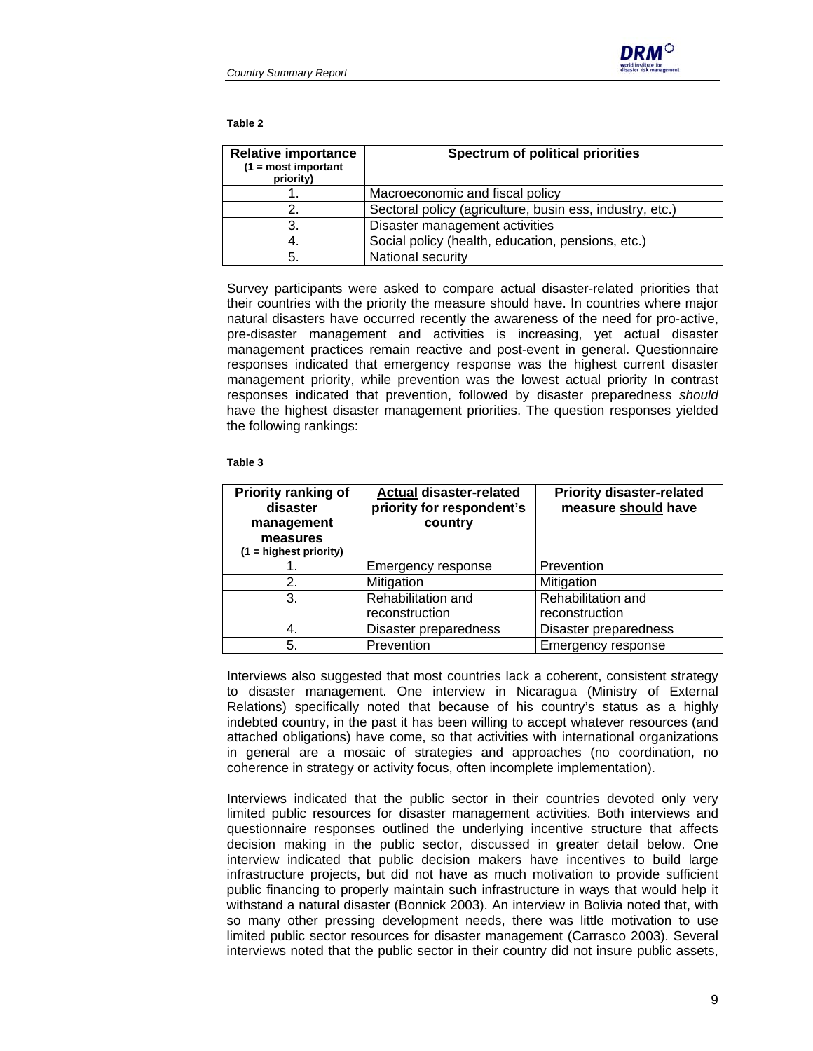

#### **Table 2**

| <b>Relative importance</b><br>$(1 = most important)$<br>priority) | <b>Spectrum of political priorities</b>                  |  |
|-------------------------------------------------------------------|----------------------------------------------------------|--|
|                                                                   | Macroeconomic and fiscal policy                          |  |
|                                                                   | Sectoral policy (agriculture, busin ess, industry, etc.) |  |
| 3.                                                                | Disaster management activities                           |  |
| 4.                                                                | Social policy (health, education, pensions, etc.)        |  |
| 5.                                                                | National security                                        |  |

Survey participants were asked to compare actual disaster-related priorities that their countries with the priority the measure should have. In countries where major natural disasters have occurred recently the awareness of the need for pro-active, pre-disaster management and activities is increasing, yet actual disaster management practices remain reactive and post-event in general. Questionnaire responses indicated that emergency response was the highest current disaster management priority, while prevention was the lowest actual priority In contrast responses indicated that prevention, followed by disaster preparedness *should* have the highest disaster management priorities. The question responses yielded the following rankings:

#### **Table 3**

| <b>Priority ranking of</b><br>disaster<br>management<br>measures<br>$(1 =$ highest priority) | <b>Actual disaster-related</b><br>priority for respondent's<br>country | <b>Priority disaster-related</b><br>measure should have |  |  |
|----------------------------------------------------------------------------------------------|------------------------------------------------------------------------|---------------------------------------------------------|--|--|
|                                                                                              | Emergency response                                                     | Prevention                                              |  |  |
| 2.                                                                                           | Mitigation                                                             | Mitigation                                              |  |  |
| 3.                                                                                           | Rehabilitation and                                                     | Rehabilitation and                                      |  |  |
|                                                                                              | reconstruction                                                         | reconstruction                                          |  |  |
| 4.                                                                                           | Disaster preparedness                                                  | Disaster preparedness                                   |  |  |
| 5.                                                                                           | Prevention                                                             | Emergency response                                      |  |  |

Interviews also suggested that most countries lack a coherent, consistent strategy to disaster management. One interview in Nicaragua (Ministry of External Relations) specifically noted that because of his country's status as a highly indebted country, in the past it has been willing to accept whatever resources (and attached obligations) have come, so that activities with international organizations in general are a mosaic of strategies and approaches (no coordination, no coherence in strategy or activity focus, often incomplete implementation).

Interviews indicated that the public sector in their countries devoted only very limited public resources for disaster management activities. Both interviews and questionnaire responses outlined the underlying incentive structure that affects decision making in the public sector, discussed in greater detail below. One interview indicated that public decision makers have incentives to build large infrastructure projects, but did not have as much motivation to provide sufficient public financing to properly maintain such infrastructure in ways that would help it withstand a natural disaster (Bonnick 2003). An interview in Bolivia noted that, with so many other pressing development needs, there was little motivation to use limited public sector resources for disaster management (Carrasco 2003). Several interviews noted that the public sector in their country did not insure public assets,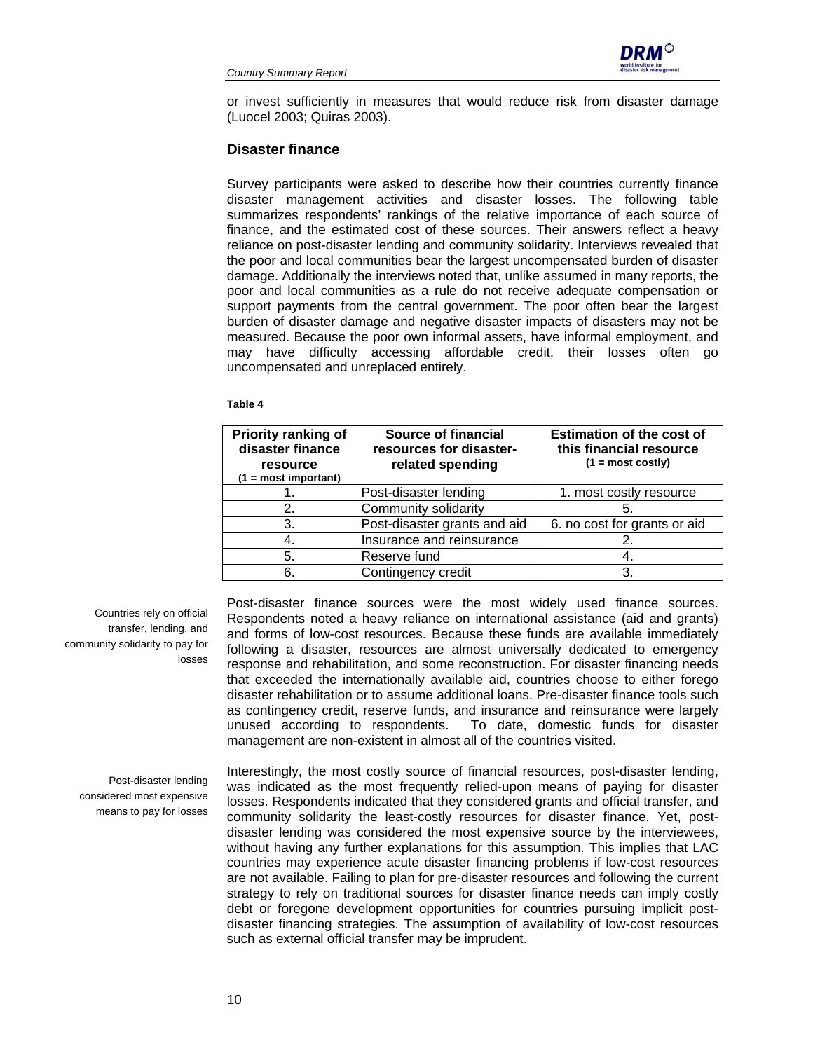

or invest sufficiently in measures that would reduce risk from disaster damage (Luocel 2003; Quiras 2003).

#### **Disaster finance**

Survey participants were asked to describe how their countries currently finance disaster management activities and disaster losses. The following table summarizes respondents' rankings of the relative importance of each source of finance, and the estimated cost of these sources. Their answers reflect a heavy reliance on post-disaster lending and community solidarity. Interviews revealed that the poor and local communities bear the largest uncompensated burden of disaster damage. Additionally the interviews noted that, unlike assumed in many reports, the poor and local communities as a rule do not receive adequate compensation or support payments from the central government. The poor often bear the largest burden of disaster damage and negative disaster impacts of disasters may not be measured. Because the poor own informal assets, have informal employment, and may have difficulty accessing affordable credit, their losses often go uncompensated and unreplaced entirely.

#### **Table 4**

| <b>Priority ranking of</b><br>disaster finance<br>resource<br>$(1 = most important)$ | Source of financial<br>resources for disaster-<br>related spending | <b>Estimation of the cost of</b><br>this financial resource<br>$(1 = most costly)$ |  |  |
|--------------------------------------------------------------------------------------|--------------------------------------------------------------------|------------------------------------------------------------------------------------|--|--|
|                                                                                      | Post-disaster lending                                              | 1. most costly resource                                                            |  |  |
| 2.                                                                                   | Community solidarity                                               | 5.                                                                                 |  |  |
| 3.                                                                                   | Post-disaster grants and aid                                       | 6. no cost for grants or aid                                                       |  |  |
| 4.                                                                                   | Insurance and reinsurance                                          |                                                                                    |  |  |
| 5.                                                                                   | Reserve fund                                                       | 4.                                                                                 |  |  |
| 6.                                                                                   | Contingency credit                                                 | З.                                                                                 |  |  |

Countries rely on official transfer, lending, and community solidarity to pay for losses

Post-disaster finance sources were the most widely used finance sources. Respondents noted a heavy reliance on international assistance (aid and grants) and forms of low-cost resources. Because these funds are available immediately following a disaster, resources are almost universally dedicated to emergency response and rehabilitation, and some reconstruction. For disaster financing needs that exceeded the internationally available aid, countries choose to either forego disaster rehabilitation or to assume additional loans. Pre-disaster finance tools such as contingency credit, reserve funds, and insurance and reinsurance were largely unused according to respondents. To date, domestic funds for disaster management are non-existent in almost all of the countries visited.

Post-disaster lending considered most expensive means to pay for losses

Interestingly, the most costly source of financial resources, post-disaster lending, was indicated as the most frequently relied-upon means of paying for disaster losses. Respondents indicated that they considered grants and official transfer, and community solidarity the least-costly resources for disaster finance. Yet, postdisaster lending was considered the most expensive source by the interviewees, without having any further explanations for this assumption. This implies that LAC countries may experience acute disaster financing problems if low-cost resources are not available. Failing to plan for pre-disaster resources and following the current strategy to rely on traditional sources for disaster finance needs can imply costly debt or foregone development opportunities for countries pursuing implicit postdisaster financing strategies. The assumption of availability of low-cost resources such as external official transfer may be imprudent.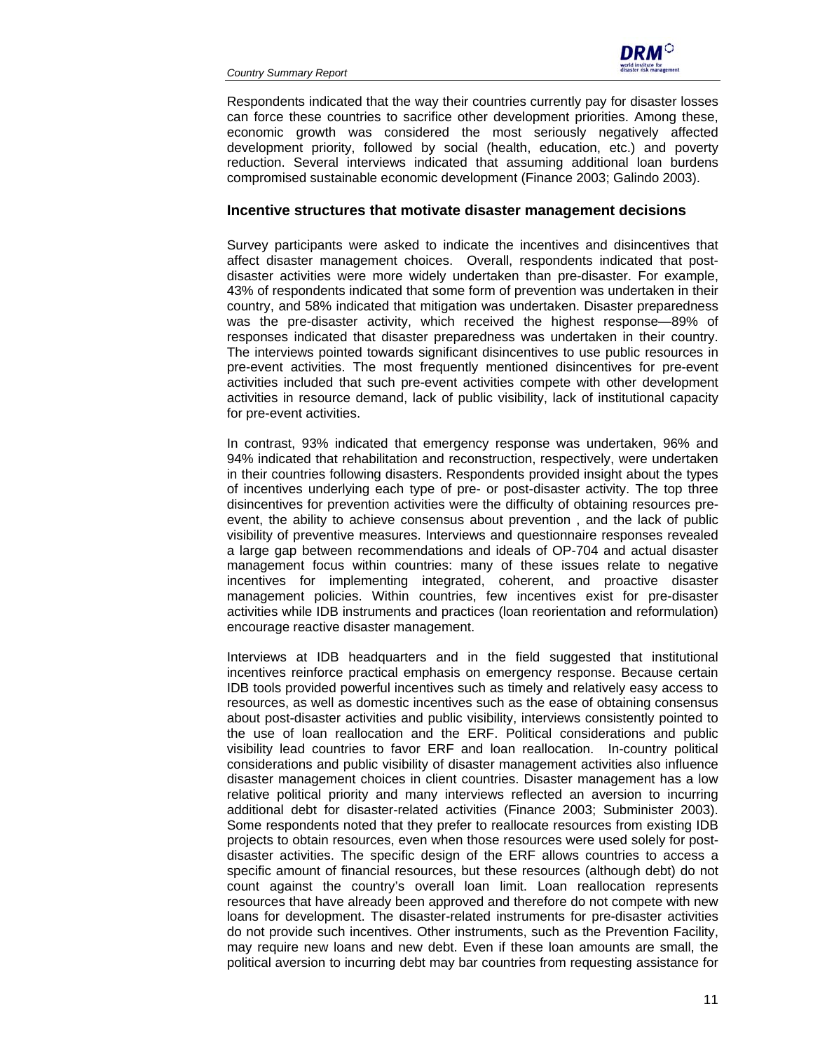

Respondents indicated that the way their countries currently pay for disaster losses can force these countries to sacrifice other development priorities. Among these, economic growth was considered the most seriously negatively affected development priority, followed by social (health, education, etc.) and poverty reduction. Several interviews indicated that assuming additional loan burdens compromised sustainable economic development (Finance 2003; Galindo 2003).

#### **Incentive structures that motivate disaster management decisions**

Survey participants were asked to indicate the incentives and disincentives that affect disaster management choices. Overall, respondents indicated that postdisaster activities were more widely undertaken than pre-disaster. For example, 43% of respondents indicated that some form of prevention was undertaken in their country, and 58% indicated that mitigation was undertaken. Disaster preparedness was the pre-disaster activity, which received the highest response—89% of responses indicated that disaster preparedness was undertaken in their country. The interviews pointed towards significant disincentives to use public resources in pre-event activities. The most frequently mentioned disincentives for pre-event activities included that such pre-event activities compete with other development activities in resource demand, lack of public visibility, lack of institutional capacity for pre-event activities.

In contrast, 93% indicated that emergency response was undertaken, 96% and 94% indicated that rehabilitation and reconstruction, respectively, were undertaken in their countries following disasters. Respondents provided insight about the types of incentives underlying each type of pre- or post-disaster activity. The top three disincentives for prevention activities were the difficulty of obtaining resources preevent, the ability to achieve consensus about prevention , and the lack of public visibility of preventive measures. Interviews and questionnaire responses revealed a large gap between recommendations and ideals of OP-704 and actual disaster management focus within countries: many of these issues relate to negative incentives for implementing integrated, coherent, and proactive disaster management policies. Within countries, few incentives exist for pre-disaster activities while IDB instruments and practices (loan reorientation and reformulation) encourage reactive disaster management.

Interviews at IDB headquarters and in the field suggested that institutional incentives reinforce practical emphasis on emergency response. Because certain IDB tools provided powerful incentives such as timely and relatively easy access to resources, as well as domestic incentives such as the ease of obtaining consensus about post-disaster activities and public visibility, interviews consistently pointed to the use of loan reallocation and the ERF. Political considerations and public visibility lead countries to favor ERF and loan reallocation. In-country political considerations and public visibility of disaster management activities also influence disaster management choices in client countries. Disaster management has a low relative political priority and many interviews reflected an aversion to incurring additional debt for disaster-related activities (Finance 2003; Subminister 2003). Some respondents noted that they prefer to reallocate resources from existing IDB projects to obtain resources, even when those resources were used solely for postdisaster activities. The specific design of the ERF allows countries to access a specific amount of financial resources, but these resources (although debt) do not count against the country's overall loan limit. Loan reallocation represents resources that have already been approved and therefore do not compete with new loans for development. The disaster-related instruments for pre-disaster activities do not provide such incentives. Other instruments, such as the Prevention Facility, may require new loans and new debt. Even if these loan amounts are small, the political aversion to incurring debt may bar countries from requesting assistance for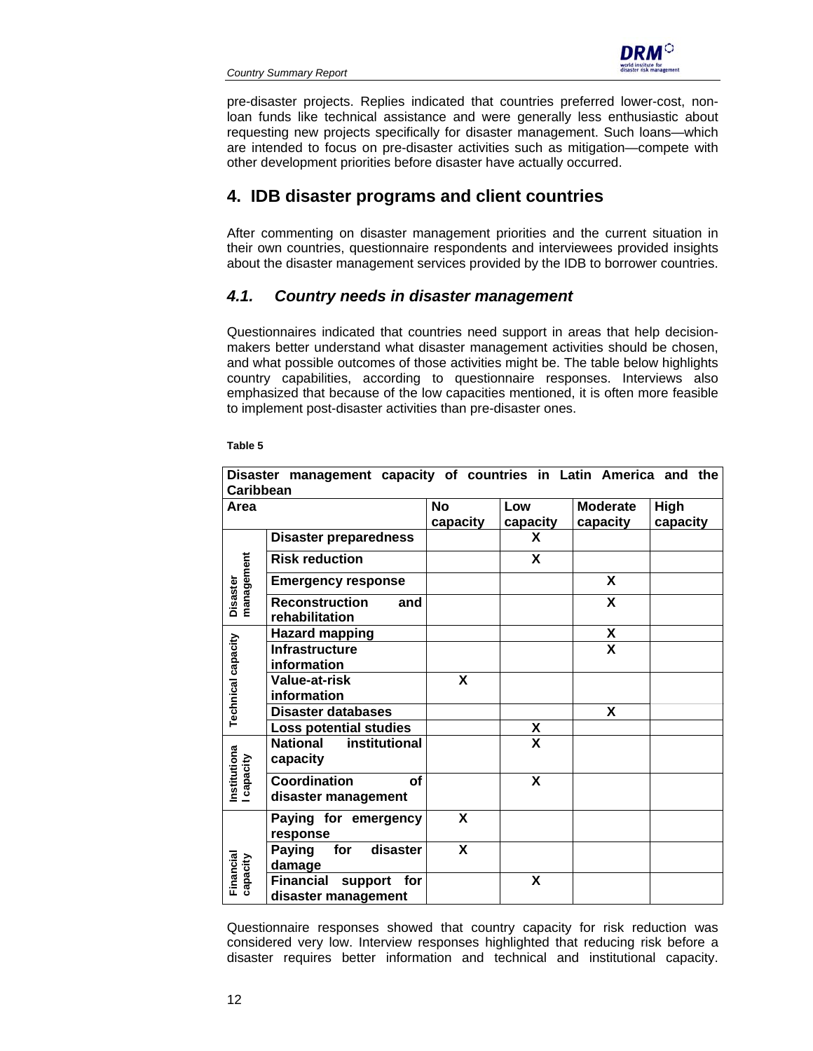

pre-disaster projects. Replies indicated that countries preferred lower-cost, nonloan funds like technical assistance and were generally less enthusiastic about requesting new projects specifically for disaster management. Such loans—which are intended to focus on pre-disaster activities such as mitigation—compete with other development priorities before disaster have actually occurred.

# **4. IDB disaster programs and client countries**

After commenting on disaster management priorities and the current situation in their own countries, questionnaire respondents and interviewees provided insights about the disaster management services provided by the IDB to borrower countries.

## *4.1. Country needs in disaster management*

Questionnaires indicated that countries need support in areas that help decisionmakers better understand what disaster management activities should be chosen, and what possible outcomes of those activities might be. The table below highlights country capabilities, according to questionnaire responses. Interviews also emphasized that because of the low capacities mentioned, it is often more feasible to implement post-disaster activities than pre-disaster ones.

|                            | Disaster management capacity of countries in Latin America and the |                       |                 |                             |                  |
|----------------------------|--------------------------------------------------------------------|-----------------------|-----------------|-----------------------------|------------------|
| Caribbean                  |                                                                    |                       |                 |                             |                  |
| Area                       |                                                                    | <b>No</b><br>capacity | Low<br>capacity | <b>Moderate</b><br>capacity | High<br>capacity |
|                            | <b>Disaster preparedness</b>                                       |                       | X               |                             |                  |
| Disaster<br>management     | <b>Risk reduction</b>                                              |                       | X               |                             |                  |
|                            | <b>Emergency response</b>                                          |                       |                 | X                           |                  |
|                            | <b>Reconstruction</b><br>and<br>rehabilitation                     |                       |                 | X                           |                  |
| <b>Technical capacity</b>  | <b>Hazard mapping</b>                                              |                       |                 | X                           |                  |
|                            | <b>Infrastructure</b><br>information                               |                       |                 | $\overline{\mathbf{X}}$     |                  |
|                            | <b>Value-at-risk</b><br>information                                | X                     |                 |                             |                  |
|                            | Disaster databases                                                 |                       |                 | X                           |                  |
|                            | Loss potential studies                                             |                       | X               |                             |                  |
|                            | <b>National</b><br>institutional<br>capacity                       |                       | X               |                             |                  |
| Institutiona<br>I capacity | <b>Coordination</b><br>οf<br>disaster management                   |                       | X               |                             |                  |
| Financial<br>capacity      | Paying for emergency<br>response                                   | X                     |                 |                             |                  |
|                            | for<br><b>Paying</b><br>disaster<br>damage                         | X                     |                 |                             |                  |
|                            | <b>Financial</b><br>for<br>support<br>disaster management          |                       | X               |                             |                  |

**Table 5** 

Questionnaire responses showed that country capacity for risk reduction was considered very low. Interview responses highlighted that reducing risk before a disaster requires better information and technical and institutional capacity.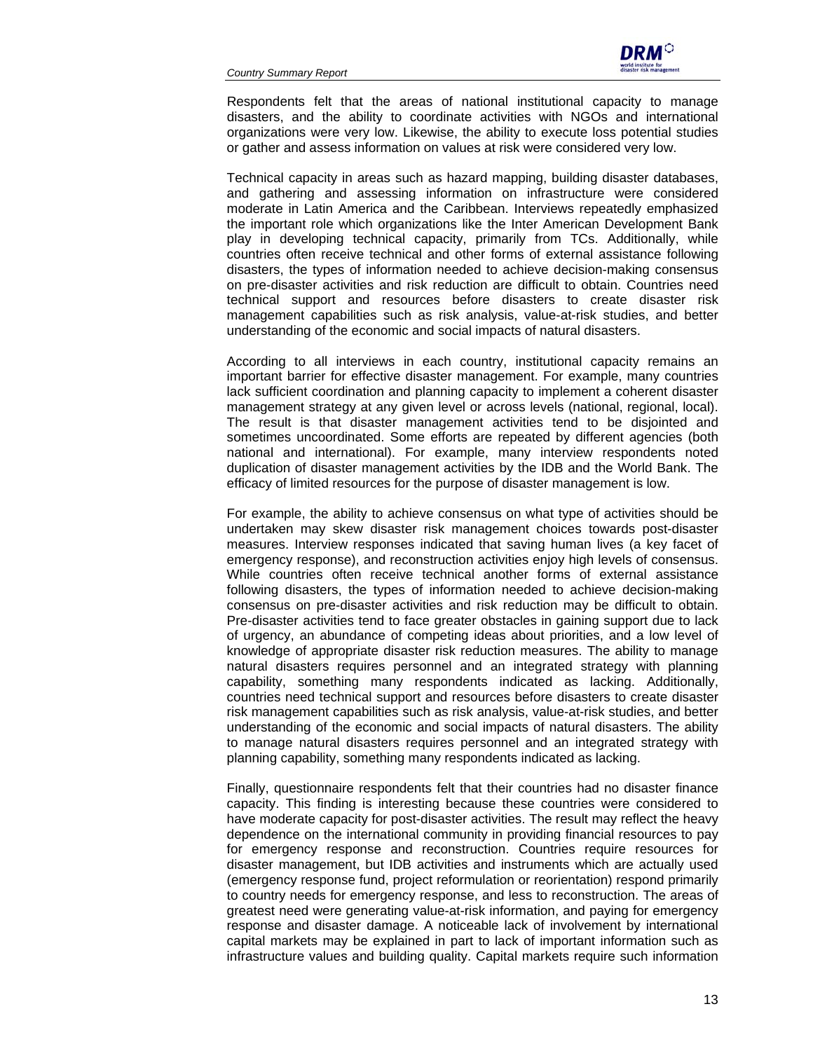

Respondents felt that the areas of national institutional capacity to manage disasters, and the ability to coordinate activities with NGOs and international organizations were very low. Likewise, the ability to execute loss potential studies or gather and assess information on values at risk were considered very low.

Technical capacity in areas such as hazard mapping, building disaster databases, and gathering and assessing information on infrastructure were considered moderate in Latin America and the Caribbean. Interviews repeatedly emphasized the important role which organizations like the Inter American Development Bank play in developing technical capacity, primarily from TCs. Additionally, while countries often receive technical and other forms of external assistance following disasters, the types of information needed to achieve decision-making consensus on pre-disaster activities and risk reduction are difficult to obtain. Countries need technical support and resources before disasters to create disaster risk management capabilities such as risk analysis, value-at-risk studies, and better understanding of the economic and social impacts of natural disasters.

According to all interviews in each country, institutional capacity remains an important barrier for effective disaster management. For example, many countries lack sufficient coordination and planning capacity to implement a coherent disaster management strategy at any given level or across levels (national, regional, local). The result is that disaster management activities tend to be disjointed and sometimes uncoordinated. Some efforts are repeated by different agencies (both national and international). For example, many interview respondents noted duplication of disaster management activities by the IDB and the World Bank. The efficacy of limited resources for the purpose of disaster management is low.

For example, the ability to achieve consensus on what type of activities should be undertaken may skew disaster risk management choices towards post-disaster measures. Interview responses indicated that saving human lives (a key facet of emergency response), and reconstruction activities enjoy high levels of consensus. While countries often receive technical another forms of external assistance following disasters, the types of information needed to achieve decision-making consensus on pre-disaster activities and risk reduction may be difficult to obtain. Pre-disaster activities tend to face greater obstacles in gaining support due to lack of urgency, an abundance of competing ideas about priorities, and a low level of knowledge of appropriate disaster risk reduction measures. The ability to manage natural disasters requires personnel and an integrated strategy with planning capability, something many respondents indicated as lacking. Additionally, countries need technical support and resources before disasters to create disaster risk management capabilities such as risk analysis, value-at-risk studies, and better understanding of the economic and social impacts of natural disasters. The ability to manage natural disasters requires personnel and an integrated strategy with planning capability, something many respondents indicated as lacking.

Finally, questionnaire respondents felt that their countries had no disaster finance capacity. This finding is interesting because these countries were considered to have moderate capacity for post-disaster activities. The result may reflect the heavy dependence on the international community in providing financial resources to pay for emergency response and reconstruction. Countries require resources for disaster management, but IDB activities and instruments which are actually used (emergency response fund, project reformulation or reorientation) respond primarily to country needs for emergency response, and less to reconstruction. The areas of greatest need were generating value-at-risk information, and paying for emergency response and disaster damage. A noticeable lack of involvement by international capital markets may be explained in part to lack of important information such as infrastructure values and building quality. Capital markets require such information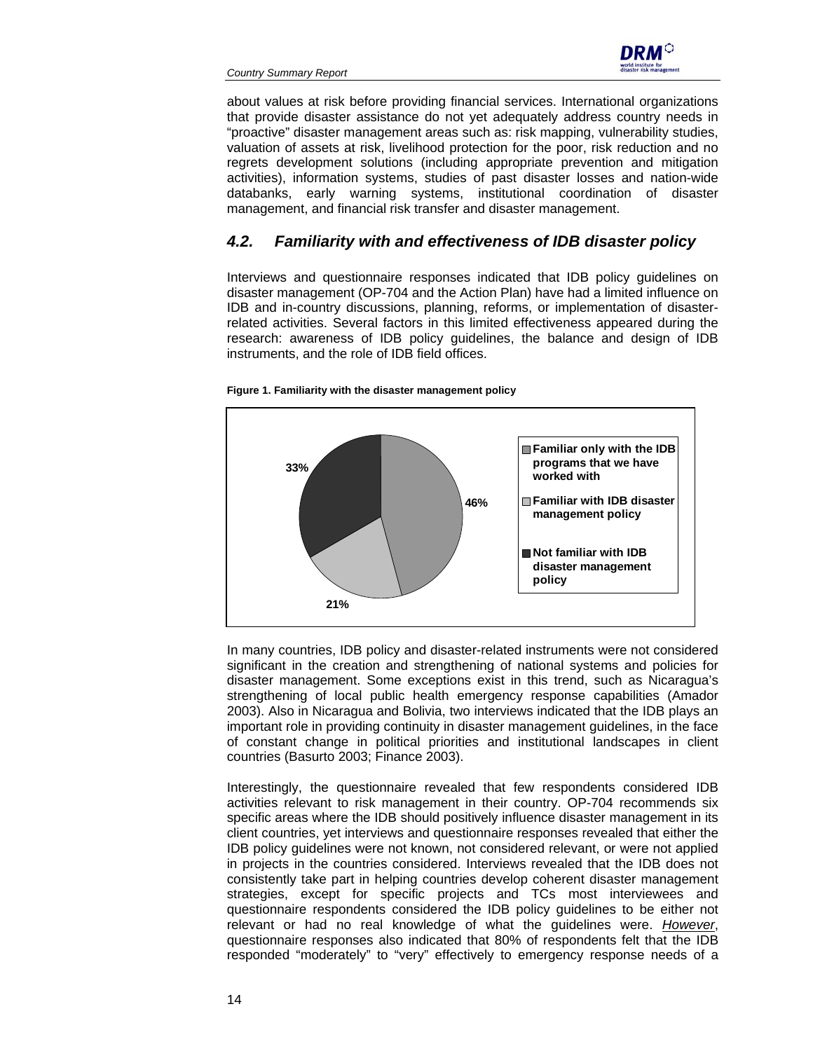

about values at risk before providing financial services. International organizations that provide disaster assistance do not yet adequately address country needs in "proactive" disaster management areas such as: risk mapping, vulnerability studies, valuation of assets at risk, livelihood protection for the poor, risk reduction and no regrets development solutions (including appropriate prevention and mitigation activities), information systems, studies of past disaster losses and nation-wide databanks, early warning systems, institutional coordination of disaster management, and financial risk transfer and disaster management.

## *4.2. Familiarity with and effectiveness of IDB disaster policy*

Interviews and questionnaire responses indicated that IDB policy guidelines on disaster management (OP-704 and the Action Plan) have had a limited influence on IDB and in-country discussions, planning, reforms, or implementation of disasterrelated activities. Several factors in this limited effectiveness appeared during the research: awareness of IDB policy guidelines, the balance and design of IDB instruments, and the role of IDB field offices.



#### **Figure 1. Familiarity with the disaster management policy**

In many countries, IDB policy and disaster-related instruments were not considered significant in the creation and strengthening of national systems and policies for disaster management. Some exceptions exist in this trend, such as Nicaragua's strengthening of local public health emergency response capabilities (Amador 2003). Also in Nicaragua and Bolivia, two interviews indicated that the IDB plays an important role in providing continuity in disaster management guidelines, in the face of constant change in political priorities and institutional landscapes in client countries (Basurto 2003; Finance 2003).

Interestingly, the questionnaire revealed that few respondents considered IDB activities relevant to risk management in their country. OP-704 recommends six specific areas where the IDB should positively influence disaster management in its client countries, yet interviews and questionnaire responses revealed that either the IDB policy guidelines were not known, not considered relevant, or were not applied in projects in the countries considered. Interviews revealed that the IDB does not consistently take part in helping countries develop coherent disaster management strategies, except for specific projects and TCs most interviewees and questionnaire respondents considered the IDB policy guidelines to be either not relevant or had no real knowledge of what the guidelines were. *However*, questionnaire responses also indicated that 80% of respondents felt that the IDB responded "moderately" to "very" effectively to emergency response needs of a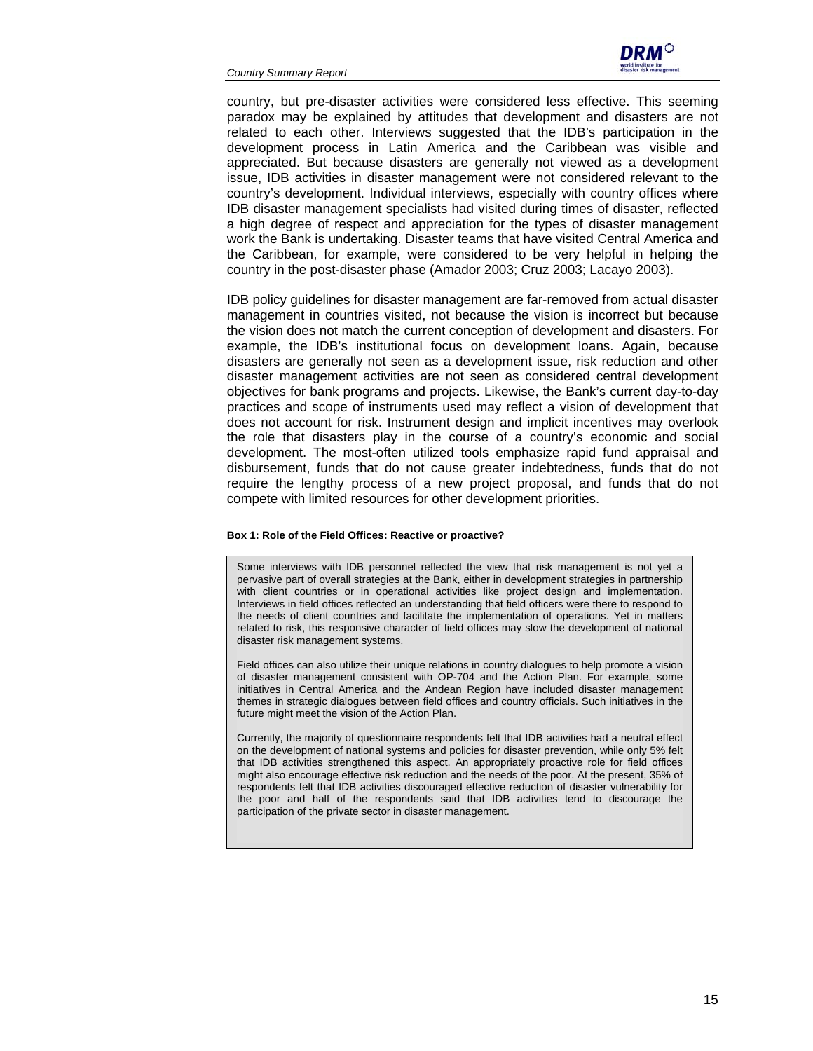*Country Summary Report* 



country, but pre-disaster activities were considered less effective. This seeming paradox may be explained by attitudes that development and disasters are not related to each other. Interviews suggested that the IDB's participation in the development process in Latin America and the Caribbean was visible and appreciated. But because disasters are generally not viewed as a development issue, IDB activities in disaster management were not considered relevant to the country's development. Individual interviews, especially with country offices where IDB disaster management specialists had visited during times of disaster, reflected a high degree of respect and appreciation for the types of disaster management work the Bank is undertaking. Disaster teams that have visited Central America and the Caribbean, for example, were considered to be very helpful in helping the country in the post-disaster phase (Amador 2003; Cruz 2003; Lacayo 2003).

IDB policy guidelines for disaster management are far-removed from actual disaster management in countries visited, not because the vision is incorrect but because the vision does not match the current conception of development and disasters. For example, the IDB's institutional focus on development loans. Again, because disasters are generally not seen as a development issue, risk reduction and other disaster management activities are not seen as considered central development objectives for bank programs and projects. Likewise, the Bank's current day-to-day practices and scope of instruments used may reflect a vision of development that does not account for risk. Instrument design and implicit incentives may overlook the role that disasters play in the course of a country's economic and social development. The most-often utilized tools emphasize rapid fund appraisal and disbursement, funds that do not cause greater indebtedness, funds that do not require the lengthy process of a new project proposal, and funds that do not compete with limited resources for other development priorities.

#### **Box 1: Role of the Field Offices: Reactive or proactive?**

Some interviews with IDB personnel reflected the view that risk management is not yet a pervasive part of overall strategies at the Bank, either in development strategies in partnership with client countries or in operational activities like project design and implementation. Interviews in field offices reflected an understanding that field officers were there to respond to the needs of client countries and facilitate the implementation of operations. Yet in matters related to risk, this responsive character of field offices may slow the development of national disaster risk management systems.

Field offices can also utilize their unique relations in country dialogues to help promote a vision of disaster management consistent with OP-704 and the Action Plan. For example, some initiatives in Central America and the Andean Region have included disaster management themes in strategic dialogues between field offices and country officials. Such initiatives in the future might meet the vision of the Action Plan.

Currently, the majority of questionnaire respondents felt that IDB activities had a neutral effect on the development of national systems and policies for disaster prevention, while only 5% felt that IDB activities strengthened this aspect. An appropriately proactive role for field offices might also encourage effective risk reduction and the needs of the poor. At the present, 35% of respondents felt that IDB activities discouraged effective reduction of disaster vulnerability for the poor and half of the respondents said that IDB activities tend to discourage the participation of the private sector in disaster management.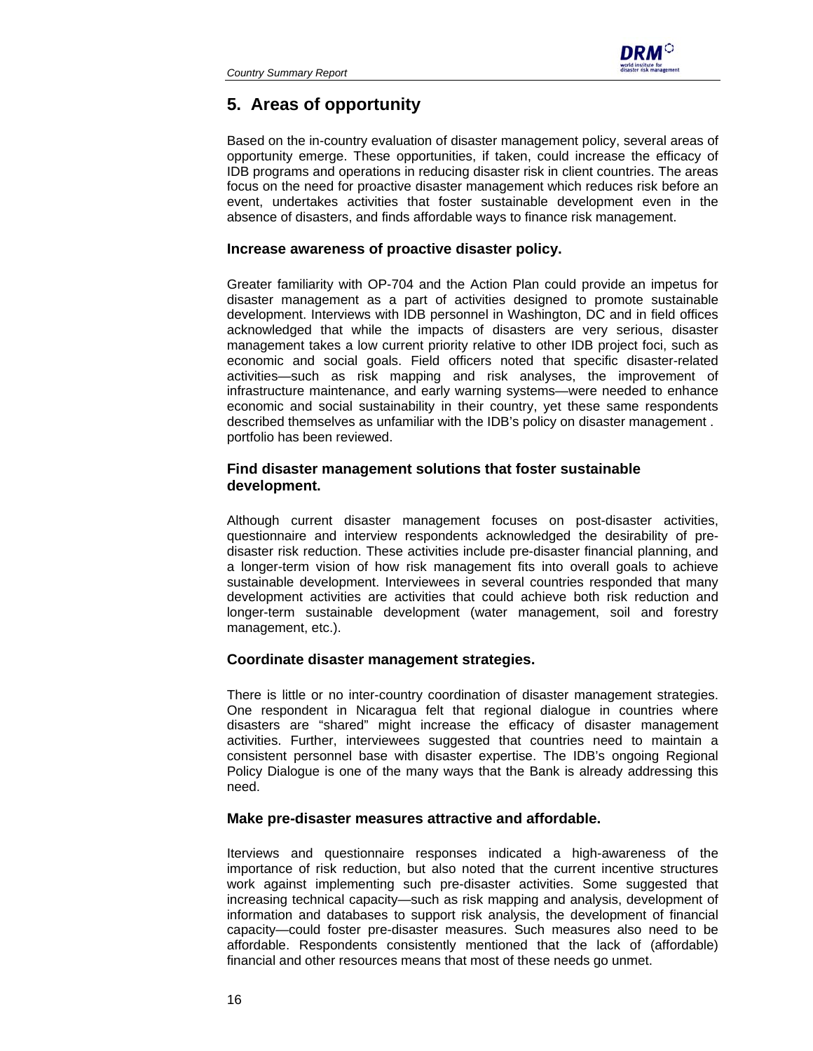

# **5. Areas of opportunity**

Based on the in-country evaluation of disaster management policy, several areas of opportunity emerge. These opportunities, if taken, could increase the efficacy of IDB programs and operations in reducing disaster risk in client countries. The areas focus on the need for proactive disaster management which reduces risk before an event, undertakes activities that foster sustainable development even in the absence of disasters, and finds affordable ways to finance risk management.

#### **Increase awareness of proactive disaster policy.**

Greater familiarity with OP-704 and the Action Plan could provide an impetus for disaster management as a part of activities designed to promote sustainable development. Interviews with IDB personnel in Washington, DC and in field offices acknowledged that while the impacts of disasters are very serious, disaster management takes a low current priority relative to other IDB project foci, such as economic and social goals. Field officers noted that specific disaster-related activities—such as risk mapping and risk analyses, the improvement of infrastructure maintenance, and early warning systems—were needed to enhance economic and social sustainability in their country, yet these same respondents described themselves as unfamiliar with the IDB's policy on disaster management . portfolio has been reviewed.

## **Find disaster management solutions that foster sustainable development.**

Although current disaster management focuses on post-disaster activities, questionnaire and interview respondents acknowledged the desirability of predisaster risk reduction. These activities include pre-disaster financial planning, and a longer-term vision of how risk management fits into overall goals to achieve sustainable development. Interviewees in several countries responded that many development activities are activities that could achieve both risk reduction and longer-term sustainable development (water management, soil and forestry management, etc.).

#### **Coordinate disaster management strategies.**

There is little or no inter-country coordination of disaster management strategies. One respondent in Nicaragua felt that regional dialogue in countries where disasters are "shared" might increase the efficacy of disaster management activities. Further, interviewees suggested that countries need to maintain a consistent personnel base with disaster expertise. The IDB's ongoing Regional Policy Dialogue is one of the many ways that the Bank is already addressing this need.

#### **Make pre-disaster measures attractive and affordable.**

Iterviews and questionnaire responses indicated a high-awareness of the importance of risk reduction, but also noted that the current incentive structures work against implementing such pre-disaster activities. Some suggested that increasing technical capacity—such as risk mapping and analysis, development of information and databases to support risk analysis, the development of financial capacity—could foster pre-disaster measures. Such measures also need to be affordable. Respondents consistently mentioned that the lack of (affordable) financial and other resources means that most of these needs go unmet.